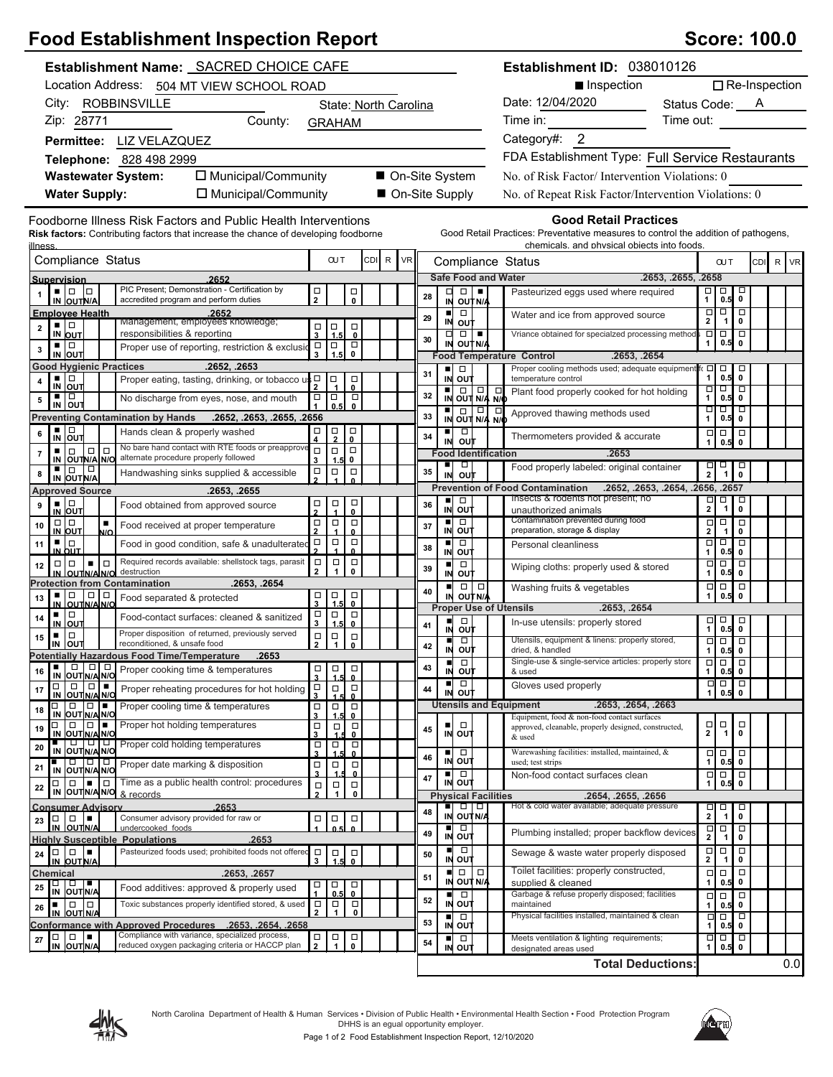| <b>Food Establishment Inspection Report</b>                                                                                                                                                                                                                                                                                                                                                                                                                                                     | <b>Score: 100.0</b>                                                                                       |                                                         |                                                                                                                                                                       |
|-------------------------------------------------------------------------------------------------------------------------------------------------------------------------------------------------------------------------------------------------------------------------------------------------------------------------------------------------------------------------------------------------------------------------------------------------------------------------------------------------|-----------------------------------------------------------------------------------------------------------|---------------------------------------------------------|-----------------------------------------------------------------------------------------------------------------------------------------------------------------------|
| Establishment Name: SACRED CHOICE CAFE                                                                                                                                                                                                                                                                                                                                                                                                                                                          | Establishment ID: 038010126                                                                               |                                                         |                                                                                                                                                                       |
| Location Address: 504 MT VIEW SCHOOL ROAD                                                                                                                                                                                                                                                                                                                                                                                                                                                       | $\Box$ Re-Inspection<br>Inspection                                                                        |                                                         |                                                                                                                                                                       |
| City: ROBBINSVILLE                                                                                                                                                                                                                                                                                                                                                                                                                                                                              | State: North Carolina                                                                                     |                                                         | Date: 12/04/2020<br>Status Code: A<br>$\mathcal{L}^{\text{max}}$ .                                                                                                    |
| Zip: 28771<br>County:                                                                                                                                                                                                                                                                                                                                                                                                                                                                           | <b>GRAHAM</b>                                                                                             |                                                         | Time in:<br>Time out:                                                                                                                                                 |
| Permittee: LIZ VELAZQUEZ                                                                                                                                                                                                                                                                                                                                                                                                                                                                        |                                                                                                           |                                                         | Category#: 2                                                                                                                                                          |
|                                                                                                                                                                                                                                                                                                                                                                                                                                                                                                 |                                                                                                           |                                                         | FDA Establishment Type: Full Service Restaurants                                                                                                                      |
| Telephone: 828 498 2999<br>□ Municipal/Community<br>■ On-Site System<br><b>Wastewater System:</b>                                                                                                                                                                                                                                                                                                                                                                                               |                                                                                                           |                                                         | No. of Risk Factor/Intervention Violations: 0                                                                                                                         |
| □ Municipal/Community                                                                                                                                                                                                                                                                                                                                                                                                                                                                           |                                                                                                           | On-Site Supply                                          |                                                                                                                                                                       |
| <b>Water Supply:</b>                                                                                                                                                                                                                                                                                                                                                                                                                                                                            |                                                                                                           |                                                         | No. of Repeat Risk Factor/Intervention Violations: 0                                                                                                                  |
| Foodborne Illness Risk Factors and Public Health Interventions<br><b>Risk factors:</b> Contributing factors that increase the chance of developing foodborne<br>illness                                                                                                                                                                                                                                                                                                                         |                                                                                                           |                                                         | <b>Good Retail Practices</b><br>Good Retail Practices: Preventative measures to control the addition of pathogens,<br>chemicals, and physical objects into foods.     |
| Compliance Status                                                                                                                                                                                                                                                                                                                                                                                                                                                                               | CDI R<br><b>VR</b><br><b>OUT</b>                                                                          | Compliance Status                                       | R<br><b>OUT</b><br><b>CDI</b><br><b>VR</b>                                                                                                                            |
| .2652<br>Supervision                                                                                                                                                                                                                                                                                                                                                                                                                                                                            |                                                                                                           | <b>Safe Food and Water</b>                              | .2653, .2655, .2658                                                                                                                                                   |
| PIC Present; Demonstration - Certification by<br>$\blacksquare$ $\blacksquare$ $\blacksquare$<br>accredited program and perform duties<br>IN OUTN/A                                                                                                                                                                                                                                                                                                                                             | $\Box$<br>$\overline{\mathsf{o}}$<br>$\overline{2}$                                                       | □<br>$\Box$<br>٠<br>28<br>IN OUTN/A                     | $\frac{1}{2}$<br>ᄝ<br>Pasteurized eggs used where required<br>0.5                                                                                                     |
| <b>Employee Health</b><br>.2652                                                                                                                                                                                                                                                                                                                                                                                                                                                                 |                                                                                                           | $\Box$<br>$\blacksquare$<br>29                          | $\begin{array}{c} \n\Box \Box \\ 2 \end{array}$<br>□<br>Water and ice from approved source<br>$\overline{1}$<br>$\mathbf 0$                                           |
| Management, employees knowledge;<br>▪ ▏□<br>$\mathbf{2}$<br>responsibilities & reporting<br>IN OUT                                                                                                                                                                                                                                                                                                                                                                                              | Ⅰ□<br>$\Box$<br>1.5<br>$\mathbf{0}$<br>$\mathbf{3}$                                                       | IN OUT<br>□<br>$\Box$<br>$\blacksquare$<br>30           | $\frac{1}{\Box}$<br>Vriance obtained for specialzed processing method<br>$\overline{\square}$                                                                         |
| ▪│□<br>Proper use of reporting, restriction & exclusion<br>3<br>IN OUT                                                                                                                                                                                                                                                                                                                                                                                                                          | ▐□<br>$\overline{g}$<br>$\Box$<br>1.5<br>3                                                                | IN OUT N/A<br><b>Food Temperature Control</b>           | 0.5<br>$\mathbf 0$<br>1<br>.2653, .2654                                                                                                                               |
| <b>Good Hygienic Practices</b><br>.2652, .2653                                                                                                                                                                                                                                                                                                                                                                                                                                                  |                                                                                                           | $\blacksquare$<br>$\Box$<br>31                          | Proper cooling methods used; adequate equipment<br>$\Box$ $\Box$<br>о                                                                                                 |
| $\frac{1}{N}$ out<br>Proper eating, tasting, drinking, or tobacco us D<br>4                                                                                                                                                                                                                                                                                                                                                                                                                     | ∣□<br>$\Box$<br>$\mathbf{0}$                                                                              | IN OUT                                                  | 1<br>0.5<br>$\mathbf 0$<br>temperature control<br>न न<br>□                                                                                                            |
| ■∣□<br>No discharge from eyes, nose, and mouth<br>5<br>IN OUT                                                                                                                                                                                                                                                                                                                                                                                                                                   | $\Box$<br>$\Box$<br>∣□<br>0.5<br>$\mathbf{0}$                                                             | $\frac{1}{N}$ out $\frac{1}{N/4}$ $\frac{1}{N/9}$<br>32 | Plant food properly cooked for hot holding<br>1<br>0.5<br>$\mathbf 0$<br>णण<br>□                                                                                      |
| <b>Preventing Contamination by Hands</b><br>.2652, .2653, .2655, .2656                                                                                                                                                                                                                                                                                                                                                                                                                          |                                                                                                           | $\frac{1}{N}$ out $\frac{1}{N/4}$ $\frac{1}{N/6}$<br>33 | Approved thawing methods used<br>$1$ 0.5<br>$\pmb{0}$                                                                                                                 |
| $\frac{1}{N}$ out<br>Hands clean & properly washed<br>6<br>No bare hand contact with RTE foods or preapprove                                                                                                                                                                                                                                                                                                                                                                                    | $\Box$<br>$\frac{\Box}{2}$<br>$\Box$<br>0                                                                 | p<br>ш<br>34<br>ουτ<br>IN                               | $\Box$ $\Box$<br>$\Box$<br>Thermometers provided & accurate<br>1<br>0.5<br>$\mathbf 0$                                                                                |
| $\Box   \Box$<br>$\Box$<br>٠<br>$\overline{7}$<br>alternate procedure properly followed<br>IN OUTNA NO                                                                                                                                                                                                                                                                                                                                                                                          | $\Box$<br>$\Box$<br>$\Box$<br>0<br>3<br>1.5                                                               | <b>Food Identification</b><br>٠<br>$\Box$               | .2653<br>Food properly labeled: original container                                                                                                                    |
| IN OUT N/A<br>Handwashing sinks supplied & accessible<br>8                                                                                                                                                                                                                                                                                                                                                                                                                                      | $\Box$<br>$\Box$<br>$\Box$                                                                                | 35<br>IN<br>ουπ                                         | $\frac{\Box}{2}$<br>$\overline{1}$<br>ᄝ                                                                                                                               |
| <b>Approved Source</b><br>.2653, .2655                                                                                                                                                                                                                                                                                                                                                                                                                                                          |                                                                                                           | $\Box$<br>٠                                             | .2652, .2653, .2654, .2656, .2657<br><b>Prevention of Food Contamination</b><br>Insects & rodents not present; no<br>$\Box$<br>o                                      |
| $\frac{1}{N}$ out<br>Food obtained from approved source<br>9                                                                                                                                                                                                                                                                                                                                                                                                                                    | $\Box$<br>$\frac{\Box}{4}$<br>口<br>2<br>$\mathbf{0}$                                                      | 36<br>IN OUT                                            | $\frac{1}{2}$<br>$\mathbf{1}$<br>$\mathbf 0$<br>unauthorized animals                                                                                                  |
| $\Box   \Box$<br>٠<br>Food received at proper temperature<br>10<br>IN OUT<br>N/O                                                                                                                                                                                                                                                                                                                                                                                                                | $\Box$<br>$\Box$<br>$\Box$<br>$\overline{2}$<br>1<br>$\mathbf{0}$                                         | Ξ<br>$\blacksquare$<br>37<br>IN OUT                     | Contamination prevented during food<br>$\Box$<br>$\Box$<br>$\Box$<br>2 <sup>1</sup><br>preparation, storage & display<br>$\overline{1}$<br>$\mathbf 0$                |
| ▪ Ⅰ□<br>Food in good condition, safe & unadulterated<br>11<br>IN OUT                                                                                                                                                                                                                                                                                                                                                                                                                            | $\Box$<br>о<br>$\Box$<br>0                                                                                | $\blacksquare$<br>$\Box$<br>38<br>IN OUT                | 무미<br>$\overline{\blacksquare}$<br>Personal cleanliness<br>1 <sup>1</sup><br>$\mathbf 0$<br>0.5                                                                       |
| Required records available: shellstock tags, parasit<br>$\Box$<br>- 10<br>12<br>destruction<br>IN OUTNANO                                                                                                                                                                                                                                                                                                                                                                                       | $\Box$<br>$\Box$<br>$\Box$<br>$\mathbf{1}$<br>$\mathbf{2}$<br>$\mathbf 0$                                 | $\Box$<br>$\blacksquare$<br>39<br>IN OUT                | $\overline{\Box}$<br>$\overline{\blacksquare}$<br>□<br>Wiping cloths: properly used & stored<br>1<br>0.5<br>$\mathbf 0$                                               |
| .2653, .2654<br><b>Protection from Contamination</b>                                                                                                                                                                                                                                                                                                                                                                                                                                            |                                                                                                           | $\Box   \Box$<br>п<br>40                                | $\Box$<br>$_{\rm o}^{\Box}$<br>$\Box$<br>Washing fruits & vegetables                                                                                                  |
| ■ □ □ □<br>In OUTN/AN/O<br>Food separated & protected<br>13                                                                                                                                                                                                                                                                                                                                                                                                                                     | о<br>▎□<br>$\Box$<br>1.5<br>$\mathbf 0$                                                                   | IN OUTNA<br><b>Proper Use of Utensils</b>               | 0.5<br>1<br>.2653. .2654                                                                                                                                              |
| ∣ □<br>٠<br>Food-contact surfaces: cleaned & sanitized<br>14<br>IN OUT                                                                                                                                                                                                                                                                                                                                                                                                                          | $\Box$<br>$\Box$<br>□<br>3<br>1.5<br>$\mathbf{0}$                                                         | п<br>$\Box$<br>41                                       | $\begin{array}{c} \square \\ \square \\ \square \\ \square.5 \end{array}$<br>$\overline{\phantom{a}}_{\phantom{a}}^{\phantom{a}}$<br>In-use utensils: properly stored |
| Proper disposition of returned, previously served<br>$\Box$<br>$\blacksquare$<br>15<br>reconditioned, & unsafe food<br>IN OUT                                                                                                                                                                                                                                                                                                                                                                   | $\Box$<br>$\frac{1}{2}$ $\frac{1}{1}$ $\frac{1}{0}$                                                       | IN<br>o∪†<br>□                                          | 0.5<br>Utensils, equipment & linens: properly stored,<br>미ㅁ<br>□                                                                                                      |
| <b>Potentially Hazardous Food Time/Temperature</b><br>.2653                                                                                                                                                                                                                                                                                                                                                                                                                                     |                                                                                                           | 42<br>IN OUT<br>$\Box$                                  | dried, & handled<br>1 <sup>1</sup><br>0.5<br>0<br>Single-use & single-service articles: properly store<br>० ०<br>□                                                    |
| $\begin{array}{c c c c c c} \hline \rule{0pt}{12pt} & \rule{0pt}{12pt} \quad & \rule{0pt}{12pt} \quad & \rule{0pt}{12pt} \quad & \rule{0pt}{12pt} \quad & \rule{0pt}{12pt} \quad & \rule{0pt}{12pt} \quad & \rule{0pt}{12pt} \quad & \rule{0pt}{12pt} \quad & \rule{0pt}{12pt} \quad & \rule{0pt}{12pt} \quad & \rule{0pt}{12pt} \quad & \rule{0pt}{12pt} \quad & \rule{0pt}{12pt} \quad & \rule{0pt}{12pt} \quad & \rule{0pt}{1$<br>Proper cooking time & temperatures<br>16<br>IN OUT N/A N/O | □<br>□<br>□<br>$\overline{\mathbf{3}}$<br>1.5<br>$\mathbf{0}$                                             | 43<br>ou†<br>IN                                         | & used<br>1<br>0.5<br>0                                                                                                                                               |
| $\Box$<br>$\Box$<br>□∣<br>Proper reheating procedures for hot holding<br>17<br>IN OUT N/A N/C                                                                                                                                                                                                                                                                                                                                                                                                   | $\frac{\Box}{3}$<br>$\Box$<br>$\Box$                                                                      | $\Box$<br>ш<br>44<br>IN OUT                             | $\Box$<br>$\begin{array}{c}\n\hline\n\end{array}\n\quad 0.5$<br>$\overline{\bullet}$<br>Gloves used properly<br>1                                                     |
| □  □  ■<br>Proper cooling time & temperatures<br>O<br>18<br>IN OUT N/A N/O                                                                                                                                                                                                                                                                                                                                                                                                                      | $\frac{\Box}{3}$<br>$\Box$<br>$\Box$<br>1.5<br>0                                                          | <b>Utensils and Equipment</b>                           | .2653, .2654, .2663<br>Equipment, food & non-food contact surfaces                                                                                                    |
| Proper hot holding temperatures<br>$\Box$ $\Box$<br>19<br>IN OUT N/A N/C                                                                                                                                                                                                                                                                                                                                                                                                                        | $\Box$<br>σ<br>$\Box$<br>3<br>0                                                                           | $\Box$<br>п<br>45<br>IN<br>out                          | $\mathbf{u}$<br>$\frac{\Box}{2}$<br>$\Box$<br>approved, cleanable, properly designed, constructed,<br>$\mathbf 0$                                                     |
| IN OUTNANO<br>Proper cold holding temperatures<br>20                                                                                                                                                                                                                                                                                                                                                                                                                                            | $\Box$<br>$_{\rm o}^{\Box}$<br>$\Box$<br>1.5<br>3                                                         | $\Box$                                                  | & used<br>Warewashing facilities: installed, maintained, &<br>0 O                                                                                                     |
| ण गण<br>Proper date marking & disposition<br>21<br>IN OUT N/A N/O                                                                                                                                                                                                                                                                                                                                                                                                                               | $\Box$<br>$\Box$<br>□<br>$\overline{\mathbf{3}}$                                                          | 46<br>IN OUT                                            | $_\mathrm{o}^\Box$<br>0.5<br>1<br>used; test strips                                                                                                                   |
| $\blacksquare$<br>Time as a public health control: procedures<br>$\Box$ $\Box$<br>22                                                                                                                                                                                                                                                                                                                                                                                                            | $\mathbf{0}$<br>$\Box$<br>$\Box$<br>$\Box$                                                                | ■□□<br>47<br>IN OUT                                     | $\Box$<br>$\Box$<br>Non-food contact surfaces clean<br>$\Box$<br>0.5<br>1<br>$\pmb{0}$                                                                                |
| IN OUT N/A N/O & records<br><b>Consumer Advisory</b><br>2653                                                                                                                                                                                                                                                                                                                                                                                                                                    | $\mathbf{2}$<br>$\mathbf{1}$<br>0                                                                         | <b>Physical Facilities</b><br>० ०<br>$\blacksquare$     | .2654, .2655, .2656<br>Hot & cold water available; adequate pressure<br>□<br>$\Box$                                                                                   |
| Consumer advisory provided for raw or<br>$\Box$<br>$\Box$<br>23                                                                                                                                                                                                                                                                                                                                                                                                                                 | $\Box$<br>о<br>$\Box$                                                                                     | 48<br>IN OUT N/A                                        | $\frac{1}{2}$<br>$\overline{1}$<br>$\mathbf 0$                                                                                                                        |
| IN OUTN/A<br>undercooked foods<br><b>Highly Susceptible Populations</b><br>.2653                                                                                                                                                                                                                                                                                                                                                                                                                | 0.5<br>$\mathbf{a}$                                                                                       | П<br>O<br>49<br>IN OUT                                  | $\frac{\Box}{2}$<br>$\begin{array}{c}\n\Box \\ \Box\n\end{array}$<br>ᇢ<br>Plumbing installed; proper backflow devices                                                 |
| Pasteurized foods used; prohibited foods not offered<br>ا ۱۵<br>$\blacksquare$<br>$\Box$<br>24<br>IN OUT N/A                                                                                                                                                                                                                                                                                                                                                                                    | $\Box$<br>$\Box$<br>$_{\rm 0}^{\rm \Box}$<br>3<br>1.5                                                     | $\Box$<br>■<br>50<br>IN OUT                             | $\Box$<br>$\frac{\Box}{2}$<br>$\begin{array}{c} \n\Box \\ 1\n\end{array}$<br>Sewage & waste water properly disposed<br>$\mathbf 0$                                    |
| .2653, .2657<br>Chemical                                                                                                                                                                                                                                                                                                                                                                                                                                                                        |                                                                                                           | $\Box$<br>$\Box$<br>п<br>51                             | Toilet facilities: properly constructed,<br>$\Box$<br>$\Box$<br>$\Box$                                                                                                |
| IN OUTNA<br>25<br>Food additives: approved & properly used                                                                                                                                                                                                                                                                                                                                                                                                                                      | $\Box$<br>$\Box$<br>Ω<br>$\mathbf{0}$<br>0.5                                                              | IN OUT N/A<br>$\Box$<br>п                               | 1<br>0.5<br>0<br>supplied & cleaned<br>Garbage & refuse properly disposed; facilities<br>$\Box$<br>$\Box$<br>$\Box$                                                   |
| Toxic substances properly identified stored, & used<br>$\Box$ $\Box$<br>٠<br>26<br>IN OUT N/A                                                                                                                                                                                                                                                                                                                                                                                                   | $\Box$<br>$\begin{array}{c} \square \\ 1 \end{array}$<br>$_\mathrm{o}^\square$<br>$\overline{\mathbf{c}}$ | 52<br>IN OUT                                            | maintained<br>0.5<br>0<br>1                                                                                                                                           |
| <b>Conformance with Approved Procedures</b><br>.2653. .2654. .2658                                                                                                                                                                                                                                                                                                                                                                                                                              |                                                                                                           | $\Box$<br>$\blacksquare$<br>53<br>IN OUT                | Physical facilities installed, maintained & clean<br>þ<br>ά<br>$\Box$<br>$\pmb{0}$<br>1<br>0.5                                                                        |
| Compliance with variance, specialized process,<br>$\Box$<br>$\Box$<br>27<br>reduced oxygen packaging criteria or HACCP plan<br>IN OUTN/A                                                                                                                                                                                                                                                                                                                                                        | α<br>о<br>$\Box$<br>$\mathbf{1}$<br>$\mathbf{2}$<br>$\mathbf{0}$                                          | $\Box$<br>ш<br>54<br>IN OUT                             | Ξ<br>ά<br>Meets ventilation & lighting requirements;<br>$\Box$<br>1<br>0.5<br>$\pmb{0}$<br>designated areas used                                                      |
|                                                                                                                                                                                                                                                                                                                                                                                                                                                                                                 |                                                                                                           |                                                         | 0.0<br><b>Total Deductions:</b>                                                                                                                                       |